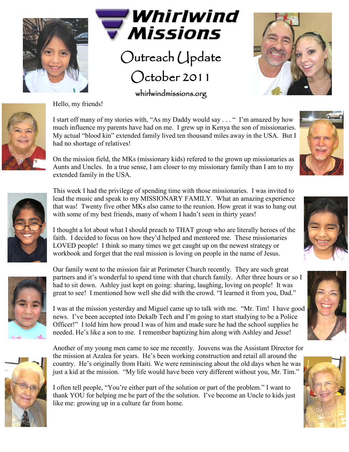

Hello, my friends!



Outreach Update October 2011

whirlwindmissions.org





I start off many of my stories with, "As my Daddy would say . . . " I'm amazed by how much influence my parents have had on me. I grew up in Kenya the son of missionaries. My actual "blood kin" extended family lived ten thousand miles away in the USA. But I had no shortage of relatives!

On the mission field, the MKs (missionary kids) refered to the grown up missionaries as Aunts and Uncles. In a true sense, I am closer to my missionary family than I am to my extended family in the USA.

This week I had the privilege of spending time with those missionaries. I was invited to lead the music and speak to my MISSIONARY FAMILY. What an amazing experience that was! Twenty five other MKs also came to the reunion. How great it was to hang out with some of my best friends, many of whom I hadn't seen in thirty years!

I thought a lot about what I should preach to THAT group who are literally heroes of the faith. I decided to focus on how they'd helped and mentored me. These missionaries LOVED people! I think so many times we get caught up on the newest strategy or workbook and forget that the real mission is loving on people in the name of Jesus.



Our family went to the mission fair at Perimeter Church recently. They are such great partners and it's wonderful to spend time with that church family. After three hours or so I had to sit down. Ashley just kept on going: sharing, laughing, loving on people! It was great to see! I mentioned how well she did with the crowd. "I learned it from you, Dad."

I was at the mission yesterday and Miguel came up to talk with me. "Mr. Tim! I have good news. I've been accepted into Dekalb Tech and I'm going to start studying to be a Police Officer!" I told him how proud I was of him and made sure he had the school supplies he needed. He's like a son to me. I remember baptizing him along with Ashley and Jesse!



Another of my young men came to see me recently. Jouvens was the Assistant Director for the mission at Azalea for years. He's been working construction and retail all around the country. He's originally from Haiti. We were reminiscing about the old days when he was just a kid at the mission. "My life would have been very different without you, Mr. Tim."

I often tell people, "You're either part of the solution or part of the problem." I want to thank YOU for helping me be part of the the solution. I've become an Uncle to kids just like me: growing up in a culture far from home.